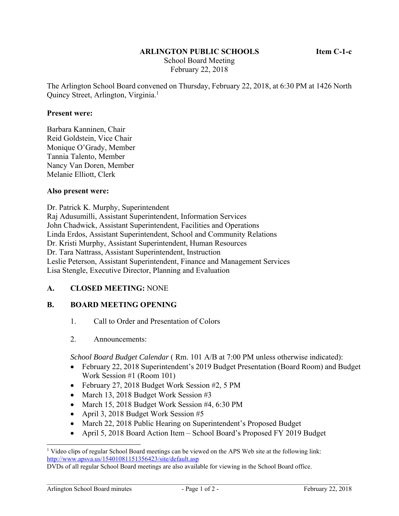# **ARLINGTON PUBLIC SCHOOLS Item C-1-c**

 School Board Meeting February 22, 2018

The Arlington School Board convened on Thursday, February 22, 2018, at 6:30 PM at 1426 North Quincy Street, Arlington, Virginia.<sup>1</sup>

#### **Present were:**

Barbara Kanninen, Chair Reid Goldstein, Vice Chair Monique O'Grady, Member Tannia Talento, Member Nancy Van Doren, Member Melanie Elliott, Clerk

#### **Also present were:**

Dr. Patrick K. Murphy, Superintendent Raj Adusumilli, Assistant Superintendent, Information Services John Chadwick, Assistant Superintendent, Facilities and Operations Linda Erdos, Assistant Superintendent, School and Community Relations Dr. Kristi Murphy, Assistant Superintendent, Human Resources Dr. Tara Nattrass, Assistant Superintendent, Instruction Leslie Peterson, Assistant Superintendent, Finance and Management Services Lisa Stengle, Executive Director, Planning and Evaluation

## **A. CLOSED MEETING:** NONE

## **B. BOARD MEETING OPENING**

- 1. Call to Order and Presentation of Colors
- 2. Announcements:

*School Board Budget Calendar* ( Rm. 101 A/B at 7:00 PM unless otherwise indicated):

- February 22, 2018 Superintendent's 2019 Budget Presentation (Board Room) and Budget Work Session #1 (Room 101)
- February 27, 2018 Budget Work Session #2, 5 PM
- March 13, 2018 Budget Work Session #3
- March 15, 2018 Budget Work Session #4, 6:30 PM
- April 3, 2018 Budget Work Session #5
- March 22, 2018 Public Hearing on Superintendent's Proposed Budget
- April 5, 2018 Board Action Item School Board's Proposed FY 2019 Budget

l

<sup>&</sup>lt;sup>1</sup> Video clips of regular School Board meetings can be viewed on the APS Web site at the following link: http://www.apsva.us/15401081151356423/site/default.asp

DVDs of all regular School Board meetings are also available for viewing in the School Board office.